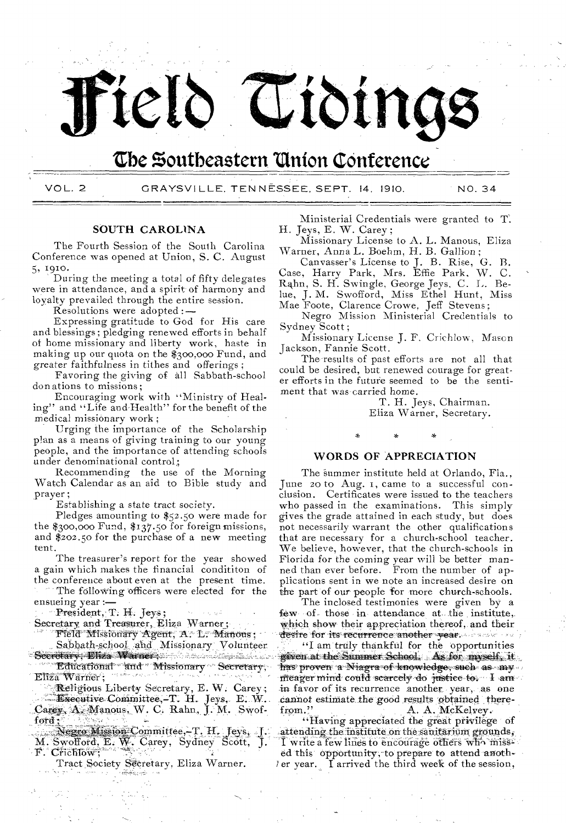# Field Tidings

### The Southeastern Union Conference

VOL. 2

GRAYSVILLE, TENNĒSSEE, SEPT. 14. 1910.

NO. 34

#### SOUTH CAROLINA

The Fourth Session of the South Carolina Conference was opened at Union, S. C. August 5, 1910.

During the meeting a total of fifty delegates were in attendance, and a spirit of harmony and loyalty prevailed through the entire session.

Resolutions were adopted:-

Expressing gratitude to God for His care and blessings; pledging renewed efforts in behalf of home missionary and liberty work, haste in making up our quota on the \$300,000 Fund, and greater faithfulness in tithes and offerings;

Favoring the giving of all Sabbath-school donations to missions:

Encouraging work with "Ministry of Healing" and "Life and Health" for the benefit of the medical missionary work;

Urging the importance of the Scholarship plan as a means of giving training to our young people, and the importance of attending schools under denominational control;

Recommending the use of the Morning<br>Watch Calendar as an aid to Bible study and prayer;

Establishing a state tract society.

Pledges amounting to  $$52.50$  were made for the \$300,000 Fund, \$137.50 for foreign missions, and \$202.50 for the purchase of a new meeting tent.

The treasurer's report for the year showed a gain which makes the financial condititon of the conference about even at the present time. The following officers were elected for the ensueing year :-

President, T. H. Jeys;

Secretary and Treasurer, Eliza Warner;

Field Missionary Agent, A. L. Manous;

Sabbath-school and Missionary Volunteer - Seeretary: Eliza Warner's American Secretary

Educational and Missionary Secretary, Eliza Warner:

Religious Liberty Secretary, E. W. Carey;

Executive Committee,-T. H. Jeys, E. W. Carey, A. Manous, W. C. Rahn, J. M. Swofford;

Negro Mission Committee,-T. H. Jeys, J. M. Swofford, E. W. Carey, Sydney Scott, F. Crichlow;

Tract Society Secretary, Eliza Warner.

a Sandara - mala

Ministerial Credentials were granted to T. H. Jeys, E. W. Carey;

Missionary License to A. L. Manous, Eliza Warner, Anna L. Boehm, H. B. Gallion;

Canvasser's License to J. B. Rise, G. B. Case, Harry Park, Mrs. Effie Park, W. C. Rahn, S. H. Swingle, George Jeys, C. L. Belue, J. M. Swofford, Miss Ethel Hunt, Miss Mae Foote, Clarence Crowe, Jeff Stevens;

Negro Mission Ministerial Credentials to Sydney Scott;

Missionary License J. F. Crichlow, Mason Jackson, Fannie Scott.

The results of past efforts are not all that could be desired, but renewed courage for greater efforts in the future seemed to be the sentiment that was carried home.

> T. H. Jeys, Chairman. Eliza Warner, Secretary.

#### **WORDS OF APPRECIATION**

The summer institute held at Orlando, Fla., June 20 to Aug. 1, came to a successful conclusion. Certificates were issued to the teachers who passed in the examinations. This simply gives the grade attained in each study, but does not necessarily warrant the other qualifications that are necessary for a church-school teacher.<br>We believe, however, that the church-schools in Florida for the coming year will be better manned than ever before. From the number of applications sent in we note an increased desire on the part of our people for more church-schools.

The inclosed testimonies were given by a few of those in attendance at the institute, which show their appreciation thereof, and their desire for its recurrence another year.

"I am truly thankful for the opportunities given at the Summer School. As for myself it has proven a Niagra of knowledge, such as my meager mind could searcely do justice to. I am in favor of its recurrence another year, as one cannot estimate the good results obtained therefrom." A. A. McKelvey.

"Having appreciated the great privilege of attending the institute on the sanitarium grounds, I write a few lines to encourage others who missed this opportunity, to prepare to attend anothler year. I arrived the third week of the session,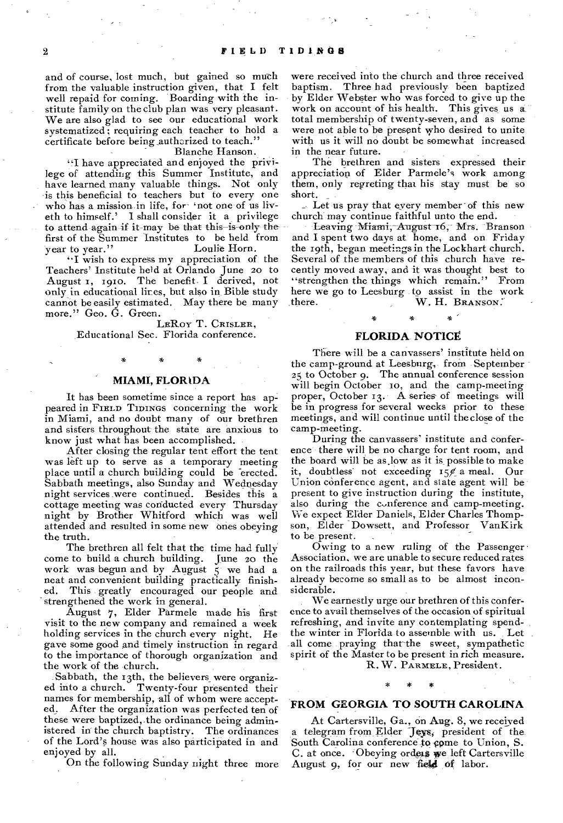and of course, lost much, but gained so much from the valuable instruction given, that I felt well repaid for coming. Boarding with the institute family on the club plan was very pleasant. We are also glad to see our educational work systematized ; requiring each teacher to hold a certificate before being authorized to teach."

#### Blanche Hanson.

"I have appreciated and enjoyed the privilege of attending this Summer Institute, and have learned many valuable things. Not only is this beneficial to teachers but to every one who has a mission in life, for 'not one of us liveth to himself.' I shall consider it a privilege to attend again if it-may be that this is only thefirst of the Summer Institutes to be held from Loulie Horn.

"I wish to express my appreciation of the Teachers' Institute held at Orlando June 20 to August I, 191o. The benefit I derived, not only in educational lines, but also in Bible study cannot be easily estimated. May there be many more." Geo. G. Green.

LERoy T. CRISLER, Educational Sec. Florida conference.

#### **MIAMI, FLORIDA**

It has been sometime since a report has appeared in FIELD TIDINGS concerning the work in Miami, and no doubt many of our brethren and sisters throughout- the state are anxious to know just what has been accomplished.

After closing the regular tent effort the tent was left up to serve as a temporary meeting place until a church building could be erected. Sabbath meetings, also Sunday and Wednesday night services were continued. Besides this a cottage meeting was conducted every Thursday night by Brother Whitford which was well attended and resulted in some new ones obeying the truth.

The brethren all felt that the time had fully come to build a church building. June zo the work was begun and by August 5 we had a neat and convenient building practically finish-This greatly encouraged our people and strengthened the work in general.

August 7, Elder Parmele made his first visit to the new company and remained a week holding services in the church every night. He gave some good and timely instruction in regard to the importance of thorough organization and the work of the church.

Sabbath, the 13th, the believers were organized into a church. Twenty-four presented their names for membership, all of whom were accepted. After the organization was perfected ten of After the organization was perfected ten of these were baptized, the ordinance being administered in the church baptistry. The ordinances of the Lord's house was also participated in and enjoyed by all.

On the following Sunday night three more

were received into the church and three received baptism. Three had previously been baptized by Elder Webster who was forced to give up the work on account of his health. This gives us a. total membership of twenty-seven, and as some were not able to be present who desired to unite with us it will no doubt be somewhat increased in the near future.

The brethren and sisters expressed their appreciation of Elder Parmele's work among them, only regreting that his stay must be so short. \_

 $\therefore$  Let us pray that every member of this new church may continue faithful unto the end.

Leaving Miami, August 16, Mrs. Branson and I spent two days at home, and on Friday the 19th, began meetings in the Lockhart church. Several of the members of this church have recently moved away, and it was thought best to "strengthen the things which remain." From here we go to Leesburg to assist in the work<br>there. W. H. BRANSON. W. H. BRANSON.

#### **FLORIDA NOTICE.**

 $_{\star}$ 

There will be a canvassers' institute held on the camp-ground at Leesburg, from September 25 to October 9. The annual conference session will begin October to, and the camp-meeting proper, October 13. A series of meetings will be in progress for several weeks prior to these meetings, and will continue until the close of the camp-meeting.

During the canvassers' institute and conference there will be no charge for tent room, and the board will be as.low as it is, possible to make it, doubtless not exceeding  $15%$  a meal. Our Union conference agent, and state agent will be present to give instruction during the institute, also during the conference and camp-meeting. We expect EIder Daniels, Elder Charles Thompson, Elder Dowsett, and Professor VanKirk to be present.

Owing to a new ruling of the Passenger Association, we are unable to secure reduced rates on the railroads this year, but these favors have already become so small as to be almost inconsiderable.

We earnestly urge our brethren of this conference to avail themselves of the occasion of spiritual refreshing, and invite any contemplating spendthe winter in Florida to assemble with us. Let all come praying that the sweet, sympathetic spirit of the Master to be present in rich measure.

#### R. W. PARMELE, President.

#### **FROM GEORGIA TO SOUTH CAROLINA**

At Cartersville, Ga., on Aug. 8, we received telegram from Elder Jeys, president of the. South Carolina conference to come to Union, S. C. at once. Obeying orders we left Cartersville August 9, for our new field of labor.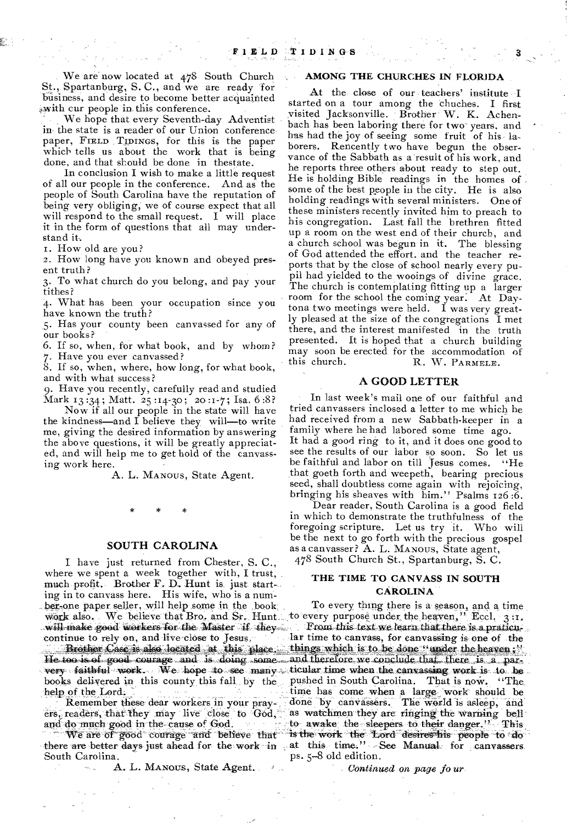We are now located at 478 South Church St., Spartanburg, S. C., and we are ready for business, and desire to become better acquainted with cur people in this conference.

We hope that every Seventh-day Adventist in the state is a reader of our Union conference paper, FIELD TIDINGS, for this is the paper which tells us about the work that is being done, and that should be done in thestate.

In conclusion I wish to make a little request of all our people in the conference. And as the people of South Carolina have the reputation of being very obliging, we of course expect that all will respond to the small request. I will place it in the form of questions that all may understand it.

T. How old are you?

2. How long have you known and obeyed present truth?

3. To what church do you belong, and pay your tithes?

4. What has been your occupation since you have known the truth?

5. Has your county been canvassed for any of our books?

6. If so, when, for what book, and by whom? 7. Have you ever canvassed?

8. If so, when, where, how long, for what book, and with what success?

9. Have you recently, carefully read and studied Mark 13 :34 ; Matt. 25 :14-30 ; 20 :1-7 ; Isa. 6 :8?

Now if all our people in the state will have the kindness—and I believe they will—to write me, giving the desired information by answering the above questions, it will be greatly appreciated, and will help me to get hold of the canvassing work here.

A. L. MANOUS, State Agent.

#### **SOUTH CAROLINA**

work also. We believe that Bro. and Sr. Hunt. to every purpose under the heaven," Eccl. 3: I have just returned from Chester, S. C., where we spent a week together with, I trust, much profit. Brother F. D. Hunt is just starting in to canvass here. His wife, who is a number-one paper seller, will help some in, the book, will make good workers for the Master if they continue to rely on, and live close to Jesus,

He too is of good courage and is doing some and therefore we conclude that there is a parvery faithful work. We hope to see many ticular time when the canvassing work is to be books deliyered in this county this fall by the help of the Lord.

Remember these dear workers in your prayers, readers, that they may live close to God, and do much good in the-cause of God.

We are of good courage and believe that there are better days just ahead for the work in South Carolina.

A. L. MANOUS, State Agent.

#### AMONG THE CHURCHES IN FLORIDA

At the close of our teachers' institute I started on a tour among the chuches. I first visited Jacksonville. Brother W. K. Achenbach has been laboring there for two-years, and has had the joy of seeing some fruit of his laborers. Rencently two have begun the observance of the Sabbath as a result of his work, and he reports three others about ready to step out. He is holding Bible readings in the homes of some of the best people in the city. He is also holding readings with several ministers. One of these ministers recently invited him to, preach to his congregation. Last fall the brethren fitted up a room on the west end of their church, and a church school was begun in it. The blessing of God attended the effort. and the teacher reports that by the close of school nearly every pupil had yielded to the wooings of divine grace. The church is contemplating fitting up a larger room for the school the coming year. At Daytona two meetings were held. I was very greatly pleased at the size of the congregations I met there, and the interest manifested in the truth presented. It is hoped that a church building may soon be erected for the accommodation of this church. R. W. PARMELE. R. W. PARMELE.

#### **A GOOD LETTER**

In last week's mail one of our faithful and tried canvassers inclosed a letter to me which he had received from a new Sabbath-keeper in a family where he had labored some time ago. It had a good ring to it, and it does one good to see the results of our labor so soon. So let us be faithful and labor on till Jesus comes. "He that goeth forth and weepeth, bearing precious seed, shall doubtless come again with rejoicing, bringing his sheaves with him." Psalms 126 :6.

Dear reader, South Carolina is a good field in which to demonstrate the truthfulness of the foregoing scripture. Let us try it. Who will be the next to go forth with the precious gospel as a canvasser? A. L. MANOUS, State agent, 478 South Church St., Spartanburg, S. C.

#### THE TIME TO CANVASS IN SOUTH CAROLINA

To every thing there is a season, and a time From this text we learn that there is a praticu-Jar time to canvass, for canvassing is one of the Brother Case is also located at this place. things which is to be done "under the heaven;" pushed in South Carolina. That is now. "The time has come when a large work' should be done by canvassers. The world is asleep, and as watchmen they are ringing the warning bell to awake the sleepers to their danger." This is the work the Lord desires his people to do at this time." See Manual for canvassers. ps. 5-8 old edition.

*Continued on page fo ur*